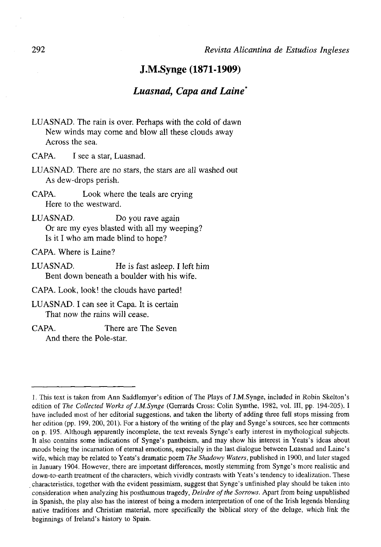# J.M.Synge (1871-1909)

# *Luasnad, Capa and Laine*

- LUASNAD. The rain is over. Perhaps with the cold of dawn New winds may come and blow all these clouds away Across the sea.
- CAPA. I see a star, Luasnad.
- LUASNAD. There are no stars, the stars are all washed out As dew-drops perish.
- CAPA. Look where the teals are crying Here to the westward.
- LUASNAD. Do you rave again Or are my eyes blasted with all my weeping? Is it I who am made blind to hope?

CAPA. Where is Laine?

- LUASNAD. He is fast asleep. I left him Bent down beneath a boulder with his wife.
- CAPA. Look, look! the clouds have parted!
- LUASNAD. I can see it Capa. It is certain That now the rains will cease.
- CAPA. There are The Seven And there the Pole-star.

<sup>1.</sup> This text is taken from Ann Saddlemyer's edition of The Plays of J.M.Synge, included in Robin Skelton's edition of *The Collected Works of J.M.Synge* (Gerrards Cross: Colin Symthe, 1982, vol. III, pp. 194-205). I have included most of her editorial suggestions, and taken the liberty of adding three full stops missing from her edition (pp. 199, 200, 201). For a history of the writing of the play and Synge's sources, see her comments on p. 195. Although apparently incomplete, the text reveáis Synge's early interest in mythological subjects. It also contains some indications of Synge's pantheism, and may show his interest in Yeats's ideas about moods being the incarnation of eternal emotions, especially in the last dialogue between Luasnad and Laine's wife, which may be related to Yeats's dramatic poem *The Shadowy Waters,* published in 1900, and later staged in January 1904. However, there are important differences, mostly stemming from Synge's more realistic and down-to-earth treatment of the characters, which vividly contrasts with Yeats's tendency to idealization. These characteristics, together with the evident pessimism, suggest that Synge's unfinished play should be taken into consideration when analyzing his posthumous tragedy, *Deirdre ofthe Sorrows.* Apart from being unpublished in Spanish, the play also has the interest of being a modern interpretation of one of the Irish legends blending native traditions and Christian material, more specifically the biblical story of the deluge, which link the beginnings of Ireland's history to Spain.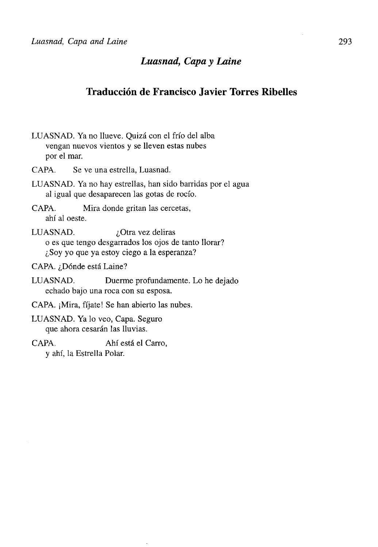# Traducción de Francisco Javier Torres Ribelles

- LUASNAD. Ya no llueve. Quizá con el frío del alba vengan nuevos vientos y se lleven estas nubes por el mar. CAPA. Se ve una estrella, Luasnad. LUASNAD. Ya no hay estrellas, han sido barridas por el agua al igual que desaparecen las gotas de rocío. CAPA. Mira donde gritan las cercetas, ahí al oeste. LUASNAD.  $i$ Otra vez deliras o es que tengo desgarrados los ojos de tanto llorar? ¿Soy yo que ya estoy ciego a la esperanza? CAPA. ¿Dónde está Laine? LUASNAD. Duerme profundamente. Lo he dejado echado bajo una roca con su esposa. CAPA. ¡Mira, fíjate! Se han abierto las nubes. LUASNAD. Ya lo veo, Capa. Seguro que ahora cesarán las lluvias.
- CAPA. Ahí está el Carro, y ahí, la Estrella Polar.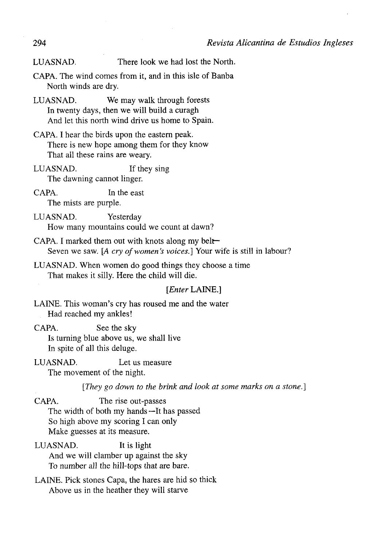LUASNAD. There look we had lost the North.

- CAPA. The wind comes from it, and in this isle of Banba North winds are dry.
- LUASNAD. We may walk through forests In twenty days, then we will build a curagh And let this north wind drive us home to Spain.
- CAPA. I hear the birds upon the eastera peak. There is new hope among them for they know That all these rains are weary.
- LUASNAD. If they sing The dawning cannot linger.
- CAPA. In the east The mists are purple.
- LUASNAD. Yesterday How many mountains could we count at dawn?
- CAPA. I marked them out with knots along my belt— Seven we saw. [A cry of women's voices.] Your wife is still in labour?
- LUASNAD. When women do good things they choose a time That makes it silly. Here the child will die.

## *[Enter* LAINE.]

LAINE. This woman's cry has roused me and the water Had reached my ankles!

- CAPA. See the sky Is turning blue above us, we shall live In spite of all this deluge.
- LUASNAD. Let us measure The movement of the night.

*[They go down to the brink and look at some marks on a stone.]* 

CAPA. The rise out-passes The width of both my hands —It has passed So high above my scoring I can only Make guesses at its measure.

- LUASNAD. It is light And we will clamber up against the sky To number all the hill-tops that are bare.
- LAINE. Pick stones Capa, the hares are hid so thick Above us in the heather they will starve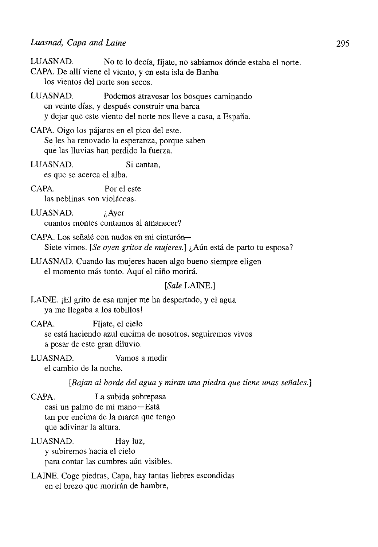LUASNAD. No te lo decía, fíjate, no sabíamos dónde estaba el norte. CAPA. De allí viene el viento, y en esta isla de Banba los vientos del norte son secos.

- LUASNAD. Podemos atravesar los bosques caminando en veinte días, y después construir una barca y dejar que este viento del norte nos lleve a casa, a España.
- CAPA. Oigo los pájaros en el pico del este. Se les ha renovado la esperanza, porque saben que las lluvias han perdido la fuerza.
- LUASNAD. Si cantan, es que se acerca el alba.
- CAPA. Por el este las neblinas son violáceas.
- LUASNAD. ¿Ayer cuantos montes contamos al amanecer?
- CAPA. Los señalé con nudos en mi cinturón— Siete vimos. *[Se oyen gritos de mujeres.]* ¿Aún está de parto tu esposa?
- LUASNAD. Cuando las mujeres hacen algo bueno siempre eligen el momento más tonto. Aquí el niño morirá.

### *[Sale* LAINE.]

LAINE. ¡El grito de esa mujer me ha despertado, y el agua ya me llegaba a los tobillos!

- CAPA. Fíjate, el cielo se está haciendo azul encima de nosotros, seguiremos vivos a pesar de este gran diluvio.
- LUASNAD. Vamos a medir el cambio de la noche.
	- *[Bajan al borde del agua y miran una piedra que tiene unas señales.]*
- CAPA. La subida sobrepasa casi un palmo de mi mano—Está tan por encima de la marca que tengo que adivinar la altura.
- LUASNAD. Hay luz, y subiremos hacia el cielo para contar las cumbres aún visibles.
- LAINE. Coge piedras, Capa, hay tantas liebres escondidas en el brezo que morirán de hambre,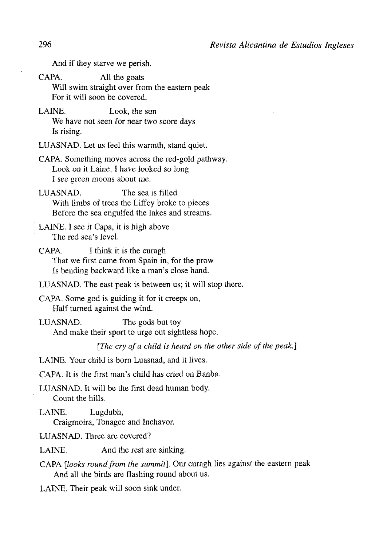296 *Revista Alicantina de Estudios Ingleses* 

And if they starve we perish.

CAPA. All the goats Will swim straight over from the eastern peak For it will soon be covered.

LAINE. Look, the sun We have not seen for near two score days Is rising.

LUASNAD. Let us feel this warmth, stand quiet.

CAPA. Something moves across the red-gold pathway. Look on it Laine, I have looked so long I see green moons about me.

LUASNAD. The sea is filled With limbs of trees the Liffey broke to pieces Before the sea engulfed the lakes and streams.

LAINE. I see it Capa, it is high above The red sea's level.

CAPA. I think it is the curagh That we first came from Spain in, for the prow Is bending backward like a man's close hand.

LUASNAD. The east peak is between us; it will stop there.

CAPA. Some god is guiding it for it creeps on, Half turned against the wind.

LUASNAD. The gods but toy And make their sport to urge out sightless hope.

[The cry of a child is heard on the other side of the peak.]

LAINE. Your child is born Luasnad, and it lives.

CAPA. It is the first man's child has cried on Banba.

LUASNAD. It will be the first dead human body. Count the hills.

LAINE. Lugdubh, Craigmoira, Tonagee and Inchavor.

LUASNAD. Three are covered?

LAINE. And the rest are sinking.

CAPA *[looks round from the summit].* Our curagh lies against the eastern peak And all the birds are flashing round about us.

LAINE. Their peak will soon sink under.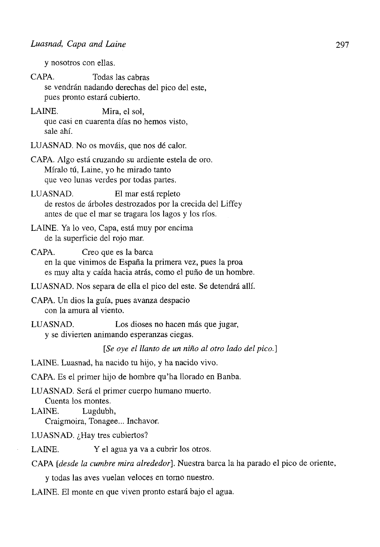y nosotros con ellas.

- CAPA. Todas las cabras se vendrán nadando derechas del pico del este, pues pronto estará cubierto.
- LAINE. Mira, el sol, que casi en cuarenta días no hemos visto, sale ahí.
- LUASNAD. No os mováis, que nos dé calor.
- CAPA. Algo está cruzando su ardiente estela de oro. Míralo tú, Laine, yo he mirado tanto que veo lunas verdes por todas partes.
- LUASNAD. El mar está repleto de restos de árboles destrozados por la crecida del Liffey antes de que el mar se tragara los lagos y los ríos.
- LAINE. Ya lo veo, Capa, está muy por encima de la superficie del rojo mar.
- CAPA. Creo que es la barca en la que vinimos de España la primera vez, pues la proa es muy alta y caída hacia atrás, como el puño de un hombre.
- LUASNAD. Nos separa de ella el pico del este. Se detendrá allí.
- CAPA. Un dios la guía, pues avanza despacio con la amura al viento.
- LUASNAD. Los dioses no hacen más que jugar, y se divierten animando esperanzas ciegas.

*[Se oye el llanto de un niño al otro lado del pico.]* 

LAINE. Luasnad, ha nacido tu hijo, y ha nacido vivo.

- CAPA. Es el primer hijo de hombre qu'ha llorado en Banba.
- LUASNAD. Será el primer cuerpo humano muerto. Cuenta los montes.
- LAINE. Lugdubh,
	- Craigmoira, Tonagee... Inchavor.
- LUASNAD. ¿Hay tres cubiertos?
- LAINE. Y el agua ya va a cubrir los otros.

CAPA *[desde la cumbre mira alrededor].* Nuestra barca la ha parado el pico de oriente,

y todas las aves vuelan veloces en torno nuestro.

LAINE. El monte en que viven pronto estará bajo el agua.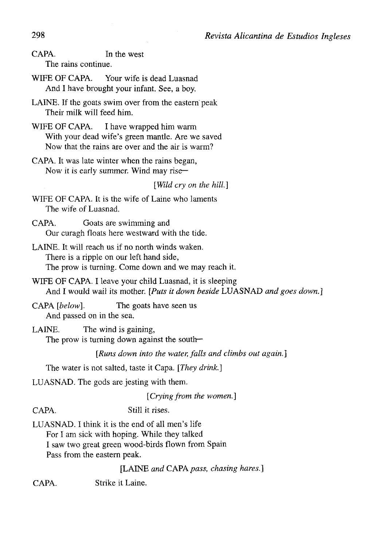CAPA. In the west The rains continué.

WIFE OF CAPA. Your wife is dead Luasnad And I have brought your infant. See, a boy.

LAINE. If the goats swim over from the eastern peak Their milk will feed him.

WIFE OF CAPA. I have wrapped him warm With your dead wife's green mantle. Are we saved Now that the rains are over and the air is warm?

CAPA. It was late winter when the rains began, Now it is early summer. Wind may rise—

*[Wild cry on the hili]* 

WIFE OF CAPA. It is the wife of Laine who laments The wife of Luasnad.

CAPA. Goats are swimming and Our curagh floats here westward with the tide.

LAINE. It will reach us if no north winds waken. There is a ripple on our left hand side, The prow is tuming. Come down and we may reach it.

WIFE OF CAPA. I leave your child Luasnad, it is sleeping And I would wail its mother. *[Puts it down beside* LUASNAD *and goes down.]* 

CAPA *[below].* The goats have seen us And passed on in the sea.

LAINE. The wind is gaining, The prow is turning down against the south—

*[Runs down into the water, falls and climbs out again.]* 

The water is not salted, taste it Capa. *[They drink.]* 

LUASNAD. The gods are jesting with them.

*[Crying from the women.]* 

CAPA. Still it rises.

LUASNAD. I think it is the end of all men's life For I am sick with hoping. While they talked I saw two great green wood-birds flown from Spain Pass from the eastern peak.

[LAINE *and CAFA pass, chasing hares.]* 

CAPA. Strike it Laine.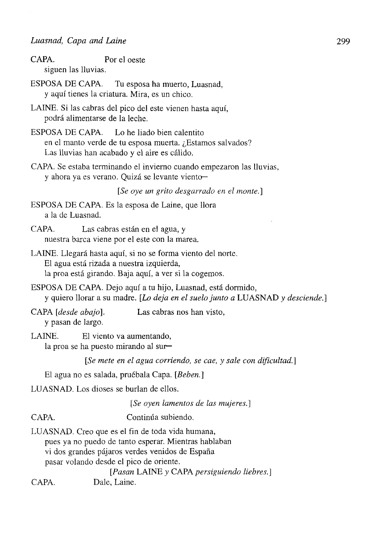CAPA. Por el oeste siguen las lluvias.

- ESPOSA DE CAPA. Tu esposa ha muerto, Luasnad, y aquí tienes la criatura. Mira, es un chico.
- LAINE. Si las cabras del pico del este vienen hasta aquí, podrá alimentarse de la leche.
- ESPOSA DE CAPA. Lo he liado bien calentito en el manto verde de tu esposa muerta. ¿Estamos salvados? Las lluvias han acabado y el aire es cálido.
- CAPA. Se estaba terminando el invierno cuando empezaron las lluvias, y ahora ya es verano. Quizá se levante viento—

*[Se oye un grito desgarrado en el monte.']* 

- ESPOSA DE CAPA. Es la esposa de Laine, que llora a la de Luasnad.
- CAPA. Las cabras están en el agua, y nuestra barca viene por el este con la marea.
- LAINE. Llegará hasta aquí, si no se forma viento del norte. El agua está rizada a nuestra izquierda, la proa está girando. Baja aquí, a ver si la cogemos.
- ESPOSA DE CAPA. Dejo aquí a tu hijo, Luasnad, está dormido, y quiero llorar a su madre. *[Lo deja en el suelo junto a* LUASNAD *y desciende.]*

CAPA *[desde abajo].* Las cabras nos han visto, y pasan de largo.

LAINE. El viento va aumentando, la proa se ha puesto mirando al sur—

*[Se mete en el agua corriendo, se cae, y sale con dificultad.]* 

El agua no es salada, pruébala Capa. *[Beben.]* 

LUASNAD. Los dioses se burlan de ellos.

*[Se oyen lamentos de las mujeres.]* 

- CAPA. Continúa subiendo.
- LUASNAD. Creo que es el fin de toda vida humana, pues ya no puedo de tanto esperar. Mientras hablaban vi dos grandes pájaros verdes venidos de España pasar volando desde el pico de oriente.

*[Pasan* LAINE *y* CAPA *persiguiendo liebres.]* 

CAPA. Dale, Laine.

299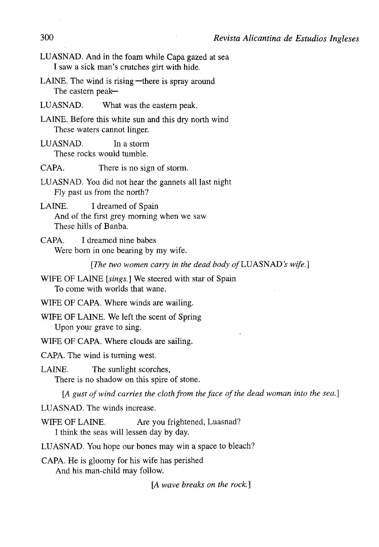- LUASNAD. And in the foam while Capa gazed at sea I saw a sick man's crutches girt with hide.
- LAINE. The wind is rising —there is spray around The eastern peak—
- LUASNAD. What was the eastern peak.
- LAINE. Before this white sun and this dry north wind These waters cannot linger.
- LUASNAD. In a storm These rocks would tumble.

CAPA. There is no sign of storm.

- LUASNAD. You did not hear the gannets all last night Fly past us from the north?
- LAINE. I dreamed of Spain And of the first grey morning when we saw These hills of Banba.
- CAPA. I dreamed nine babes Were born in one bearing by my wife.

*[The two women carry in the dead body of LUASNAD's wife.]* 

- WIFE OF LAINE *[sings.]* We steered with star of Spain To come with worlds that wane.
- WIFE OF CAPA. Where winds are wailing.
- WIFE OF LAINE. We left the scent of Spring Upon your grave to sing.
- WIFE OF CAPA. Where clouds are sailing.

CAPA. The wind is turning west.

LAINE. The sunlight scorches,

There is no shadow on this spire of stone.

[A gust of wind carries the cloth from the face of the dead woman into the sea.]

LUASNAD. The winds increase.

WIFE OF LAINE. Are you frightened, Luasnad? I think the seas will lessen day by day.

LUASNAD. You hope our bones may win a space to bleach?

CAPA. He is gloomy for his wife has perished

And his man-child may follow.

[A *wave breaks on the rock.]*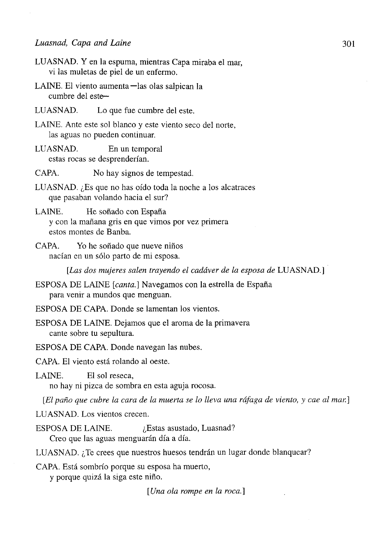- LUASNAD. Y en la espuma, mientras Capa miraba el mar, vi las muletas de piel de un enfermo.
- LAINE. El viento aumenta—las olas salpican la cumbre del este—
- LUASNAD. Lo que fue cumbre del este.
- LAINE. Ante este sol blanco y este viento seco del norte, las aguas no pueden continuar.
- LUASNAD. En un temporal estas rocas se desprenderían.
- CAPA. No hay signos de tempestad.
- LUASNAD. ¿Es que no has oído toda la noche a los alcatraces que pasaban volando hacia el sur?
- LAINE. He soñado con España y con la mañana gris en que vimos por vez primera estos montes de Banba.
- CAPA. Yo he soñado que nueve niños nacían en un sólo parto de mi esposa.

*[Las dos mujeres salen trayendo el cadáver de la esposa de* LUASNAD.]

- ESPOSA DE LAINE *[canta.]* Navegamos con la estrella de España para venir a mundos que menguan.
- ESPOSA DE CAPA. Donde se lamentan los vientos.
- ESPOSA DE LAINE. Dejamos que el aroma de la primavera cante sobre tu sepultura.
- ESPOSA DE CAPA. Donde navegan las nubes.
- CAPA. El viento está rolando al oeste.

LAINE. El sol reseca, no hay ni pizca de sombra en esta aguja rocosa.

*[El paño que cubre la cara de la muerta se lo lleva una ráfaga de viento, y cae al mar.]* 

LUASNAD. Los vientos crecen.

ESPOSA DE LAINE.  $\iota$ Estas asustado, Luasnad? Creo que las aguas menguarán día a día.

LUASNAD. ¿Te crees que nuestros huesos tendrán un lugar donde blanquear?

CAPA. Está sombrío porque su esposa ha muerto,

y porque quizá la siga este niño.

*[Una ola rompe en la roca.]*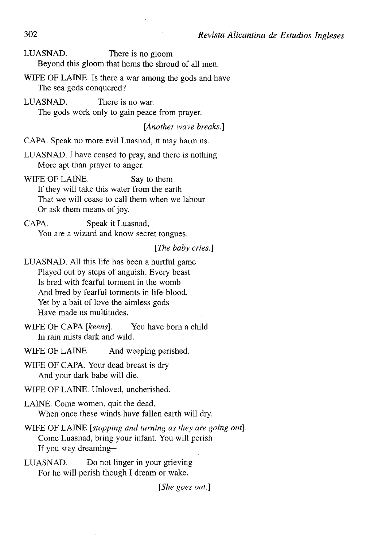LUASNAD. There is no gloom Beyond this gloom that hems the shroud of all men.

WIFE OF LAINE. Is there a war among the gods and have The sea gods conquered?

LUASNAD. There is no war. The gods work only to gain peace from prayer.

*[Another wave breaks.]* 

CAPA. Speak no more evil Luasnad, it may harm us.

LUASNAD. I have ceased to pray, and there is nothing More apt than prayer to anger.

WIFE OF LAINE. Say to them If they will take this water from the earth That we will cease to cali them when we labour Or ask them means of joy.

CAPA. Speak it Luasnad, You are a wizard and know secret tongues.

*[The baby cries.]* 

LUASNAD. All this life has been a hurtful game Played out by steps of anguish. Every beast Is bred with fearful torment in the womb And bred by fearful torments in life-blood. Yet by a bait of love the aimless gods Have made us multitudes.

WIFE OF CAPA *[keens].* You have born a child In rain místs dark and wild.

WIFE OF LAINE. And weeping perished.

WIFE OF CAPA. Your dead breast is dry And your dark babe will die.

WIFE OF LAINE. Unloved, uncherished.

LAINE. Come women, quit the dead. When once these winds have fallen earth will dry.

WIFE OF LAINE *[stopping and turning as they are going out].*  Come Luasnad, bring your infant. You will perish If you stay dreaming—

LUASNAD. Do not linger in your grieving For he will perish though I dream or wake.

*[She goes out]*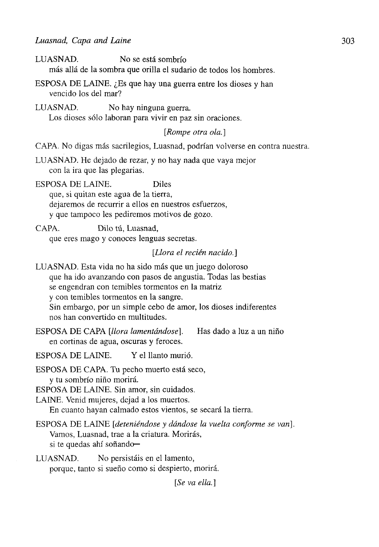| LUASNAD.<br>No se está sombrío<br>más allá de la sombra que orilla el sudario de todos los hombres.                                                                                                                                                                                                                             |
|---------------------------------------------------------------------------------------------------------------------------------------------------------------------------------------------------------------------------------------------------------------------------------------------------------------------------------|
| ESPOSA DE LAINE. ¿Es que hay una guerra entre los dioses y han<br>vencido los del mar?                                                                                                                                                                                                                                          |
| LUASNAD.<br>No hay ninguna guerra.<br>Los dioses sólo laboran para vivir en paz sin oraciones.                                                                                                                                                                                                                                  |
| [Rompe otra ola.]                                                                                                                                                                                                                                                                                                               |
| CAPA. No digas más sacrilegios, Luasnad, podrían volverse en contra nuestra.                                                                                                                                                                                                                                                    |
| LUASNAD. He dejado de rezar, y no hay nada que vaya mejor<br>con la ira que las plegarias.                                                                                                                                                                                                                                      |
| ESPOSA DE LAINE.<br><b>Diles</b><br>que, si quitan este agua de la tierra,<br>dejaremos de recurrir a ellos en nuestros esfuerzos,<br>y que tampoco les pediremos motivos de gozo.                                                                                                                                              |
| CAPA.<br>Dilo tú, Luasnad,<br>que eres mago y conoces lenguas secretas.                                                                                                                                                                                                                                                         |
| [Llora el recién nacido.]                                                                                                                                                                                                                                                                                                       |
| LUASNAD. Esta vida no ha sido más que un juego doloroso<br>que ha ido avanzando con pasos de angustia. Todas las bestias<br>se engendran con temibles tormentos en la matriz<br>y con temibles tormentos en la sangre.<br>Sin embargo, por un simple cebo de amor, los dioses indiferentes<br>nos han convertido en multitudes. |
| ESPOSA DE CAPA [llora lamentándose].<br>Has dado a luz a un niño<br>en cortinas de agua, oscuras y feroces.                                                                                                                                                                                                                     |
| ESPOSA DE LAINE.<br>Y el llanto murió.                                                                                                                                                                                                                                                                                          |
| ESPOSA DE CAPA. Tu pecho muerto está seco,<br>y tu sombrío niño morirá.<br>ESPOSA DE LAINE. Sin amor, sin cuidados.<br>LAINE. Venid mujeres, dejad a los muertos.<br>En cuanto hayan calmado estos vientos, se secará la tierra.                                                                                                |
| ESPOSA DE LAINE [deteniéndose y dándose la vuelta conforme se van].<br>Vamos, Luasnad, trae a la criatura. Morirás,<br>si te quedas ahí soñando-                                                                                                                                                                                |
| LUASNAD.<br>No persistáis en el lamento,<br>porque, tanto si sueño como si despierto, morirá.                                                                                                                                                                                                                                   |
| $[Se\ va\ ella.]$                                                                                                                                                                                                                                                                                                               |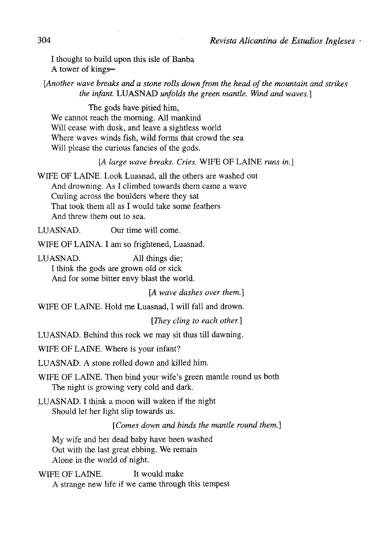I thought to build upon this isle of Banba A tower of kings—

[Another wave breaks and a stone rolls down from the head of the mountain and strikes *the infant.* LUASNAD *unfolds the green mantle. Wind and waves.]* 

The gods have pitied him, We cannot reach the morning. All mankind Will cease with dusk, and leave a sightless world Where waves winds fish, wild forms that crowd the sea Will please the curious fancies of the gods.

*[A large wave breaks. Cries.* WIFE OF LAINE *runs in.]* 

WIFE OF LAINE. Look Luasnad, all the others are washed out And drowning. As I climbed towards them came a wave Curling across the boulders where they sat That took them all as I would take some feathers And threw them out to sea.

LUASNAD. Our time will come.

WIFE OF LAINA. I am so frightened, Luasnad.

LUASNAD. All things die;

I think the gods are grown oíd or sick And for some bitter envy blast the world.

*[A wave dashes over them.]* 

WIFE OF LAINE. Hold me Luasnad, I will fall and drown.

*[They cling to each other.]* 

LUASNAD. Behind this rock we may sit thus till dawning.

WIFE OF LAINE. Where is your infant?

LUASNAD. A stone rolled down and killed him.

WIFE OF LAINE. Then bind your wife's green mantle round us both The night is growing very cold and dark.

LUASNAD. I think a moon will waken if the night Should let her light slip towards us.

*[Comes down and binds the mantle round them.]* 

My wife and her dead baby have been washed Out with the last great ebbing. We remain Alone in the world of night.

WIFE OF LAINE. It would make A strange new life if we carne through this tempest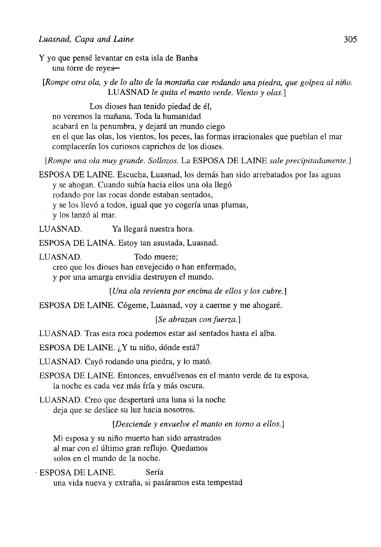Y yo que pensé levantar en esta isla de Banba una torre de reyes—

*[Rompe otra ola, y de lo alto de la montaña cae rodando una piedra, que golpea al niño.*  LUASNAD *le quita el manto verde. Viento y olas.]* 

Los dioses han tenido piedad de él, no veremos la mañana. Toda la humanidad acabará en la penumbra, y dejará un mundo ciego en el que las olas, los vientos, los peces, las formas irracionales que pueblan el mar complacerán los curiosos caprichos de los dioses.

*[Rompe una ola muy grande. Sollozos.* La ESPOSA DE LAINE *sale precipitadamente.]* 

ESPOSA DE LAINE. Escucha, Luasnad, los demás han sido arrebatados por las aguas y se ahogan. Cuando subía hacia ellos una ola llegó

rodando por las rocas donde estaban sentados,

y se los llevó a todos, igual que yo cogería unas plumas,

y los lanzó al mar.

LUASNAD. Ya llegará nuestra hora.

ESPOSA DE LAINA. Estoy tan asustada, Luasnad.

LUASNAD. Todo muere;

creo que los dioses han envejecido o han enfermado,

y por una amarga envidia destruyen el mundo.

*[Una ola revienta por encima de ellos y los cubre.]* 

ESPOSA DE LAINE. Cógeme, Luasnad, voy a caerme y me ahogaré.

*[Se abrazan con fuerza. ]* 

LUASNAD. Tras esta roca podemos estar así sentados hasta el alba.

ESPOSA DE LAINE. ¿Y tu niño, dónde está?

LUASNAD. Cayó rodando una piedra, y lo mató.

ESPOSA DE LAINE. Entonces, envuélvenos en el manto verde de tu esposa, la noche es cada vez más fría y más oscura.

LUASNAD. Creo que despertará una luna si la noche deja que se deslice su luz hacia nosotros.

*[Desciende y envuelve el manto en torno a ellos. ]* 

Mi esposa y su niño muerto han sido arrastrados al mar con el último gran reflujo. Quedamos solos en el mundo de la noche.

• ESPOSA DE LAINE. Sería una vida nueva y extraña, si pasáramos esta tempestad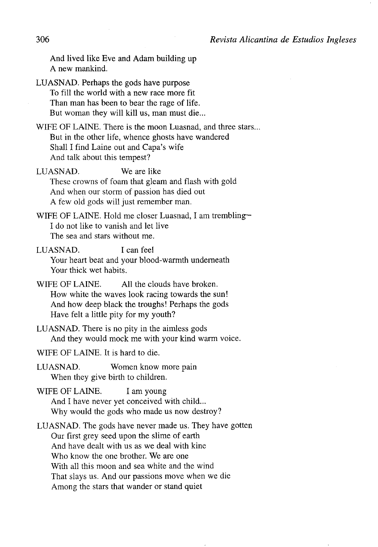And lived like Eve and Adam building up A new mankind.

LUASNAD. Perhaps the gods have purpose To fill the world with a new race more fit Than man has been to bear the rage of life. But woman they will kill us, man must die...

WIFE OF LAINE. There is the moon Luasnad, and three stars... But in the other life, whence ghosts have wandered Shall I find Laine out and Capa's wife And talk about this tempest?

LUASNAD. We are like These crowns of foam that gleam and flash with gold And when our storm of passion has died out A few oíd gods will just remember man.

WIFE OF LAINE. Hold me closer Luasnad, I am trembling— I do not like to vanish and let live The sea and stars without me.

LUASNAD. I can feel Your heart beat and your blood-warmth underneath Your thick wet habits.

WIFE OF LAINE. All the clouds have broken. How white the waves look racing towards the sun! And how deep black the troughs! Perhaps the gods Have felt a little pity for my youth?

LUASNAD. There is no pity in the aimless gods And they would mock me with your kind warm voice.

WIFE OF LAINE. It is hard to die.

LUASNAD. Women know more pain When they give birth to children.

WIFE OF LAINE. I am young And I have never yet conceived with child... Why would the gods who made us now destroy?

LUASNAD. The gods have never made us. They have gotten Our first grey seed upon the slime of earth And have dealt with us as we deal with kine Who know the one brother. We are one With all this moon and sea white and the wind That slays us. And our passions move when we die Among the stars that wander or stand quiet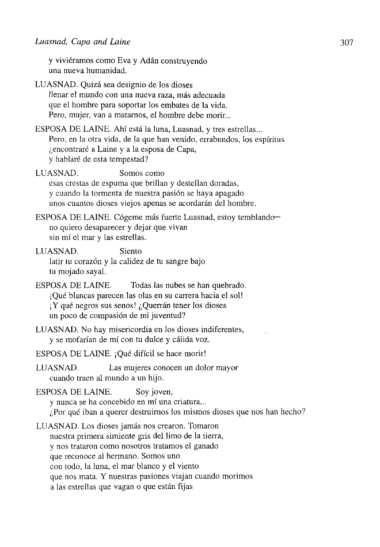y viviéramos como Eva y Adán construyendo una nueva humanidad.

LUASNAD. Quizá sea designio de los dioses llenar el mundo con una nueva raza, más adecuada que el hombre para soportar los embates de la vida. Pero, mujer, van a matarnos, el hombre debe morir...

ESPOSA DE LAINE. Ahí está la luna, Luasnad, y tres estrellas... Pero, en la otra vida, de la que han venido, errabundos, los espíritus ¿encontraré a Laine y a la esposa de Capa, y hablaré de esta tempestad?

LUASNAD. Somos como esas crestas de espuma que brillan y destellan doradas, y cuando la tormenta de nuestra pasión se haya apagado unos cuantos dioses viejos apenas se acordarán del hombre.

ESPOSA DE LAINE. Cógeme más fuerte Luasnad, estoy temblandono quiero desaparecer y dejar que vivan sin mí el mar y las estrellas.

LUASNAD. Siento latir tu corazón y la calidez de tu sangre bajo tu mojado sayal.

- ESPOSA DE LAINE. Todas las nubes se han quebrado. ¡Qué blancas parecen las olas en su carrera hacia el sol! ¡Y qué negros sus senos! ¿Querrán tener los dioses un poco de compasión de mi juventud?
- LUASNAD. No hay misericordia en los dioses indiferentes, y se mofarían de mí con tu dulce y cálida voz.

ESPOSA DE LAINE. ¡Qué difícil se hace morir!

LUASNAD. Las mujeres conocen un dolor mayor cuando traen al mundo a un hijo.

ESPOSA DE LAINE. Soy joven, y nunca se ha concebido en mí una criatura... ¿Por qué iban a querer destruirnos los mismos dioses que nos han hecho?

LUASNAD. Los dioses jamás nos crearon. Tomaron nuestra primera simiente gris del limo de la tierra, y nos trataron como nosotros tratamos el ganado que reconoce al hermano. Somos uno con todo, la luna, el mar blanco y el viento que nos mata. Y nuestras pasiones viajan cuando morimos a las estrellas que vagan o que están fijas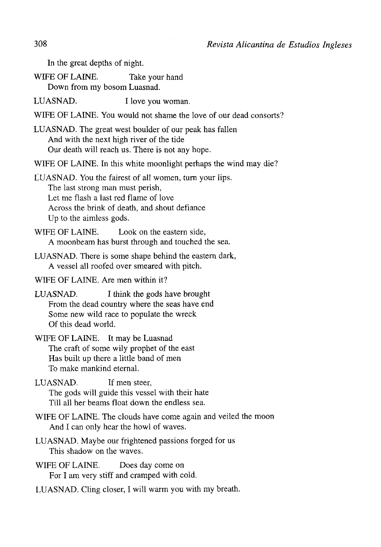In the great depths of night.

WIFE OF LAINE. Take your hand

Down from my bosom Luasnad.

LUASNAD. I love you woman.

WIFE OF LAINE. You would not shame the love of our dead consorts?

LUASNAD. The great west boulder of our peak has fallen And with the next high river of the tide Our death will reach us. There is not any hope.

WIFE OF LAINE. In this white moonlight perhaps the wind may die?

LUASNAD. You the fairest of all women, turn your lips. The last strong man must perish, Let me flash a last red fíame of love Across the brink of death, and shout defiance Up to the aimless gods.

WIFE OF LAINE. Look on the eastern side. A moonbeam has burst through and touched the sea.

LUASNAD. There is some shape behind the eastern dark, A vessel all roofed over smeared with pitch.

WIFE OF LAINE. Are men within it?

LUASNAD. I think the gods have brought From the dead country where the seas have end Some new wild race to populate the wreck Of this dead world.

WIFE OF LAINE. It may be Luasnad The craft of some wily prophet of the east Has built up there a little band of men To make mankind eternal.

LUASNAD. If men steer, The gods will guide this vessel with their hate Till all her beams float down the endless sea.

WIFE OF LAINE. The clouds have come again and veiled the moon And I can only hear the howl of waves.

LUASNAD. Maybe our frightened passions forged for us This shadow on the waves.

WIFE OF LAINE. Does day come on For I am very stiff and cramped with cold.

LUASNAD. Cling closer, I will warm you with my breath.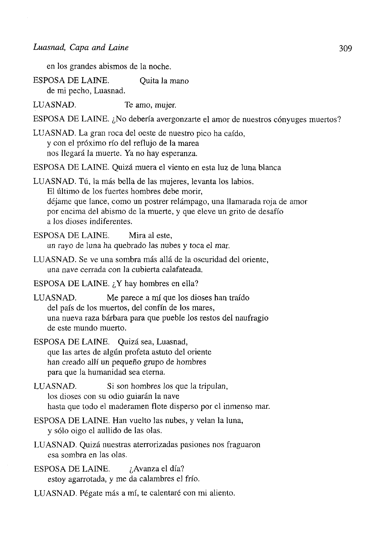en los grandes abismos de la noche.

ESPOSA DE LAINE. Quita la mano de mi pecho, Luasnad.

LUASNAD. Te amo, mujer.

ESPOSA DE LAINE. ¿No debería avergonzarte el amor de nuestros cónyuges

LUASNAD. La gran roca del oeste de nuestro pico ha caído, y con el próximo río del reflujo de la marea nos llegará la muerte. Ya no hay esperanza.

ESPOSA DE LAINE. Quizá muera el viento en esta luz de luna blanca

LUASNAD. Tú, la más bella de las mujeres, levanta los labios. El último de los fuertes hombres debe morir, déjame que lance, como un postrer relámpago, una llamarada roja de amor por encima del abismo de la muerte, y que eleve un grito de desafío a los dioses indiferentes.

ESPOSA DE LAINE. Mira al este, un rayo de luna ha quebrado las nubes y toca el mar.

- LUASNAD. Se ve una sombra más allá de la oscuridad del oriente, una nave cerrada con la cubierta calafateada.
- ESPOSA DE LAINE. ¿Y hay hombres en ella?

LUASNAD. Me parece a mí que los dioses han traído del país de los muertos, del confín de los mares, una nueva raza bárbara para que pueble los restos del naufragio de este mundo muerto.

ESPOSA DE LAINE. Quizá sea, Luasnad, que las artes de algún profeta astuto del oriente han creado allí un pequeño grupo de hombres para que la humanidad sea eterna.

- LUASNAD. Si son hombres los que la tripulan, los dioses con su odio guiarán la nave hasta que todo el maderamen flote disperso por el inmenso mar.
- ESPOSA DE LAINE. Han vuelto las nubes, y velan la luna, y sólo oigo el aullido de las olas.
- LUASNAD. Quizá nuestras aterrorizadas pasiones nos fraguaron esa sombra en las olas.

ESPOSA DE LAINE. ¿Avanza el día? estoy agarrotada, y me da calambres el frío.

LUASNAD. Pégate más a mí, te calentaré con mi aliento.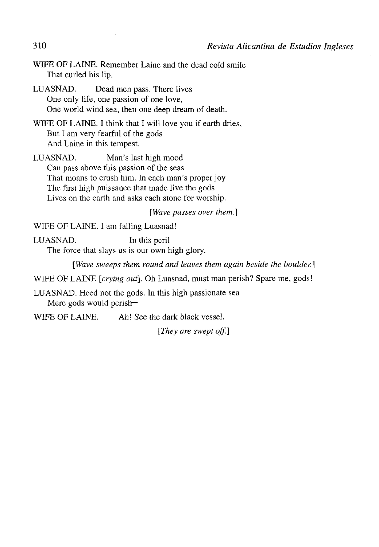WIFE OF LAINE. Remember Laine and the dead cold smile That curled his lip.

LUASNAD. Dead men pass. There lives One only life, one passion of one love, One world wind sea, then one deep dream of death.

WIFE OF LAINE. I think that I will love you if earth dries, But I am very fearful of the gods And Laine in this tempest.

LUASNAD. Man's last high mood Can pass above this passion of the seas That moans to crush him. In each man's proper joy The first high puissance that made live the gods Lives on the earth and asks each stone for worship.

[Wave passes over them.]

WIFE OF LAINE. I am falling Luasnad!

LUASNAD. In this peril The forcé that slays us is our own high glory.

*[Wave sweeps them round and leaves them again beside the boulder.]* 

WIFE OF LAINE *[crying out\.* Oh Luasnad, must man perish? Spare me, gods!

LUASNAD. Heed not the gods. In this high passionate sea Mere gods would perish—

WIFE OF LAINE. Ah! See the dark black vessel.

*[They are swept off.]*